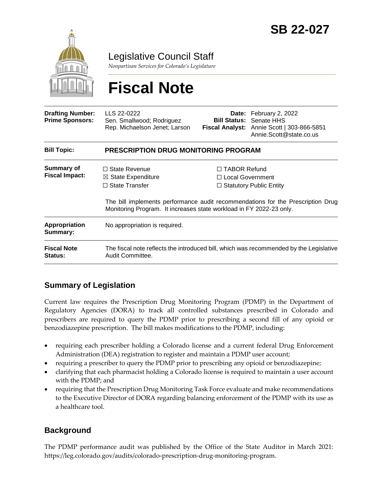

Legislative Council Staff

*Nonpartisan Services for Colorado's Legislature*

# **Fiscal Note**

| <b>Drafting Number:</b><br><b>Prime Sponsors:</b> | LLS 22-0222<br>Sen. Smallwood; Rodriguez<br>Rep. Michaelson Jenet; Larson                                                                             |                                                | <b>Date:</b> February 2, 2022<br><b>Bill Status: Senate HHS</b><br>Fiscal Analyst: Annie Scott   303-866-5851<br>Annie.Scott@state.co.us |  |
|---------------------------------------------------|-------------------------------------------------------------------------------------------------------------------------------------------------------|------------------------------------------------|------------------------------------------------------------------------------------------------------------------------------------------|--|
| <b>Bill Topic:</b>                                | <b>PRESCRIPTION DRUG MONITORING PROGRAM</b>                                                                                                           |                                                |                                                                                                                                          |  |
| <b>Summary of</b><br><b>Fiscal Impact:</b>        | $\Box$ State Revenue<br>$\boxtimes$ State Expenditure<br>$\Box$ State Transfer<br>Monitoring Program. It increases state workload in FY 2022-23 only. | $\Box$ TABOR Refund<br>$\Box$ Local Government | $\Box$ Statutory Public Entity<br>The bill implements performance audit recommendations for the Prescription Drug                        |  |
| Appropriation<br>Summary:                         | No appropriation is required.                                                                                                                         |                                                |                                                                                                                                          |  |
| <b>Fiscal Note</b><br>Status:                     | The fiscal note reflects the introduced bill, which was recommended by the Legislative<br>Audit Committee.                                            |                                                |                                                                                                                                          |  |

# **Summary of Legislation**

Current law requires the Prescription Drug Monitoring Program (PDMP) in the Department of Regulatory Agencies (DORA) to track all controlled substances prescribed in Colorado and prescribers are required to query the PDMP prior to prescribing a second fill of any opioid or benzodiazepine prescription. The bill makes modifications to the PDMP, including:

- requiring each prescriber holding a Colorado license and a current federal Drug Enforcement Administration (DEA) registration to register and maintain a PDMP user account;
- requiring a prescriber to query the PDMP prior to prescribing any opioid or benzodiazepine;
- clarifying that each pharmacist holding a Colorado license is required to maintain a user account with the PDMP; and
- requiring that the Prescription Drug Monitoring Task Force evaluate and make recommendations to the Executive Director of DORA regarding balancing enforcement of the PDMP with its use as a healthcare tool.

# **Background**

The PDMP performance audit was published by the Office of the State Auditor in March 2021: https://leg.colorado.gov/audits/colorado-prescription-drug-monitoring-program.